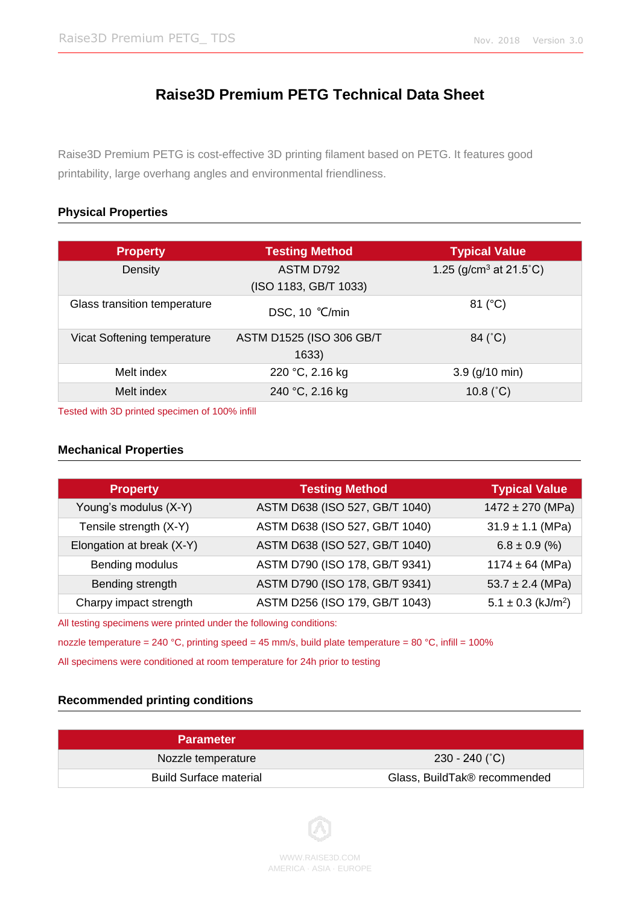# **Raise3D Premium PETG Technical Data Sheet**

Raise3D Premium PETG is cost-effective 3D printing filament based on PETG. It features good printability, large overhang angles and environmental friendliness.

## **Physical Properties**

| <b>Property</b>              | <b>Testing Method</b>    | <b>Typical Value</b>      |
|------------------------------|--------------------------|---------------------------|
| Density                      | ASTM D792                | 1.25 ( $g/cm3$ at 21.5°C) |
|                              | (ISO 1183, GB/T 1033)    |                           |
| Glass transition temperature | DSC, 10 °C/min           | 81 (°C)                   |
| Vicat Softening temperature  | ASTM D1525 (ISO 306 GB/T | 84 (°C)                   |
|                              | 1633)                    |                           |
| Melt index                   | 220 °C, 2.16 kg          | $3.9$ (g/10 min)          |
| Melt index                   | 240 °C, 2.16 kg          | 10.8 $(^{\circ}C)$        |

Tested with 3D printed specimen of 100% infill

#### **Mechanical Properties**

| <b>Property</b>           | <b>Testing Method</b>          | <b>Typical Value</b>               |
|---------------------------|--------------------------------|------------------------------------|
| Young's modulus (X-Y)     | ASTM D638 (ISO 527, GB/T 1040) | $1472 \pm 270$ (MPa)               |
| Tensile strength (X-Y)    | ASTM D638 (ISO 527, GB/T 1040) | $31.9 \pm 1.1$ (MPa)               |
| Elongation at break (X-Y) | ASTM D638 (ISO 527, GB/T 1040) | $6.8 \pm 0.9$ (%)                  |
| Bending modulus           | ASTM D790 (ISO 178, GB/T 9341) | $1174 \pm 64$ (MPa)                |
| Bending strength          | ASTM D790 (ISO 178, GB/T 9341) | $53.7 \pm 2.4$ (MPa)               |
| Charpy impact strength    | ASTM D256 (ISO 179, GB/T 1043) | $5.1 \pm 0.3$ (kJ/m <sup>2</sup> ) |
|                           |                                |                                    |

All testing specimens were printed under the following conditions:

nozzle temperature = 240 °C, printing speed = 45 mm/s, build plate temperature = 80 °C, infill = 100%

All specimens were conditioned at room temperature for 24h prior to testing

### **Recommended printing conditions**

| <b>Parameter</b>              |                              |
|-------------------------------|------------------------------|
| Nozzle temperature            | $230 - 240$ (°C)             |
| <b>Build Surface material</b> | Glass, BuildTak® recommended |

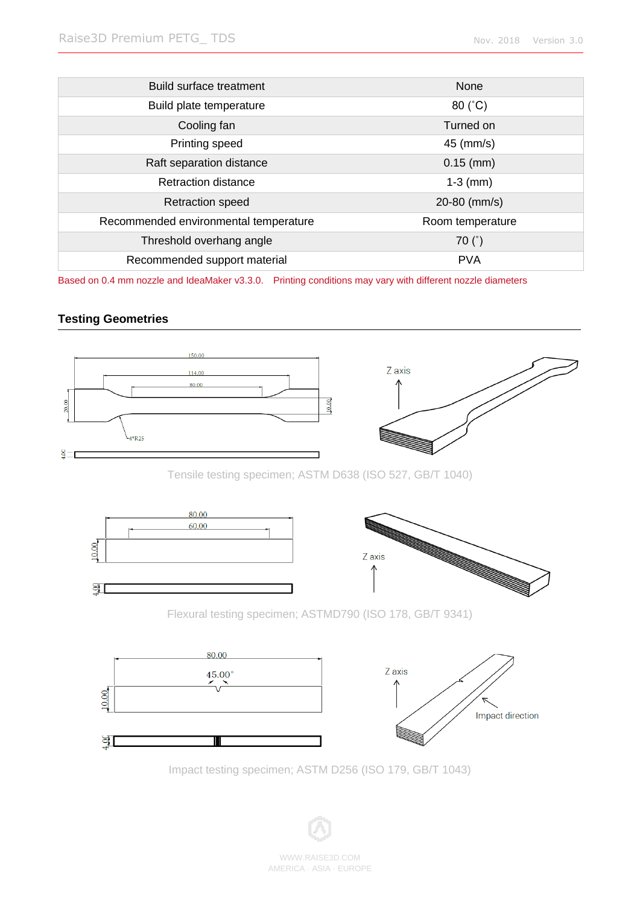| Build surface treatment               | None             |
|---------------------------------------|------------------|
| Build plate temperature               | $80 (^{\circ}C)$ |
| Cooling fan                           | Turned on        |
| Printing speed                        | 45 (mm/s)        |
| Raft separation distance              | $0.15$ (mm)      |
| Retraction distance                   | $1-3$ (mm)       |
| <b>Retraction speed</b>               | 20-80 (mm/s)     |
| Recommended environmental temperature | Room temperature |
| Threshold overhang angle              | 70 $(°)$         |
| Recommended support material          | <b>PVA</b>       |

Based on 0.4 mm nozzle and IdeaMaker v3.3.0. Printing conditions may vary with different nozzle diameters

# **Testing Geometries**



Tensile testing specimen; ASTM D638 (ISO 527, GB/T 1040)



Flexural testing specimen; ASTMD790 (ISO 178, GB/T 9341)



Impact testing specimen; ASTM D256 (ISO 179, GB/T 1043)